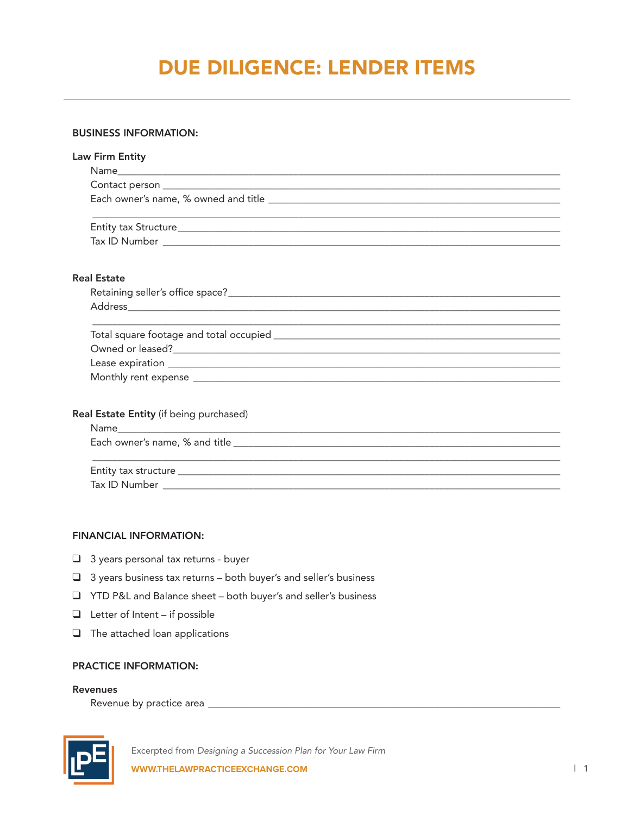# DUE DILIGENCE: LENDER ITEMS

## BUSINESS INFORMATION:

| <b>Law Firm Entity</b>                  |  |
|-----------------------------------------|--|
|                                         |  |
|                                         |  |
|                                         |  |
|                                         |  |
| <b>Real Estate</b>                      |  |
|                                         |  |
|                                         |  |
|                                         |  |
|                                         |  |
|                                         |  |
| Real Estate Entity (if being purchased) |  |
|                                         |  |
|                                         |  |
|                                         |  |
|                                         |  |

## FINANCIAL INFORMATION:

- $\Box$  3 years personal tax returns buyer
- $\Box$  3 years business tax returns both buyer's and seller's business
- q YTD P&L and Balance sheet both buyer's and seller's business
- $\Box$  Letter of Intent if possible
- $\Box$  The attached loan applications

# PRACTICE INFORMATION:

#### Revenues

Revenue by practice area \_\_\_\_\_\_\_\_\_\_\_\_\_\_\_\_\_\_\_\_\_\_\_\_\_\_\_\_\_\_\_\_\_\_\_\_\_\_\_\_\_\_\_\_\_\_\_\_\_\_\_\_\_\_\_\_\_\_\_\_\_\_\_\_\_\_\_\_\_\_



Excerpted from *Designing a Succession Plan for Your Law Firm* **WWW.THELAWPRACTICEEXCHANGE.COM** | 1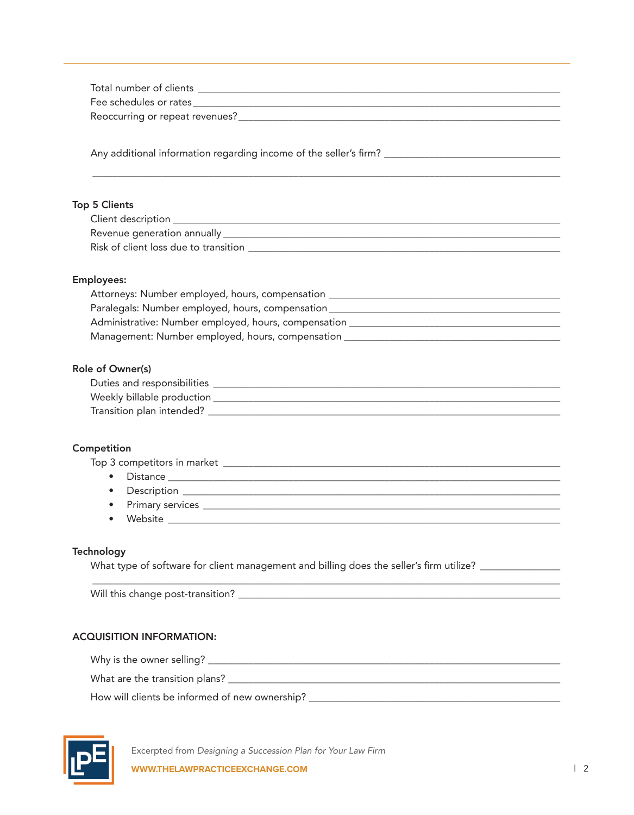| <b>Top 5 Clients</b>                                                                                       |
|------------------------------------------------------------------------------------------------------------|
|                                                                                                            |
|                                                                                                            |
|                                                                                                            |
|                                                                                                            |
| <b>Employees:</b>                                                                                          |
| Attorneys: Number employed, hours, compensation ________________________________                           |
| Paralegals: Number employed, hours, compensation________________________________                           |
|                                                                                                            |
| Management: Number employed, hours, compensation _______________________________                           |
|                                                                                                            |
| Role of Owner(s)                                                                                           |
|                                                                                                            |
|                                                                                                            |
|                                                                                                            |
|                                                                                                            |
|                                                                                                            |
| Competition                                                                                                |
|                                                                                                            |
| $\bullet$                                                                                                  |
|                                                                                                            |
|                                                                                                            |
| Website                                                                                                    |
|                                                                                                            |
| Technology                                                                                                 |
| What type of software for client management and billing does the seller's firm utilize? __________________ |
|                                                                                                            |
|                                                                                                            |
|                                                                                                            |
|                                                                                                            |
| <b>ACQUISITION INFORMATION:</b>                                                                            |
|                                                                                                            |
| $\mathbf{H}^{\bullet}$                                                                                     |